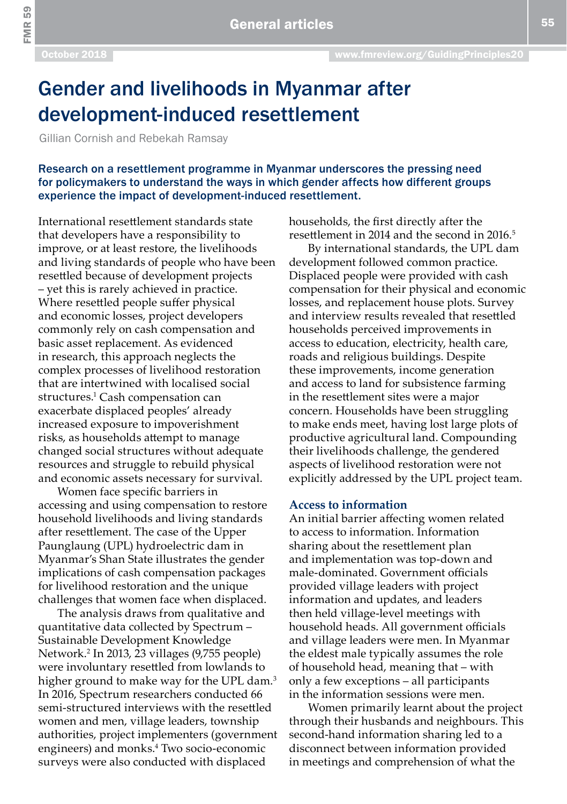FMR 59

# Gender and livelihoods in Myanmar after development-induced resettlement

Gillian Cornish and Rebekah Ramsay

Research on a resettlement programme in Myanmar underscores the pressing need for policymakers to understand the ways in which gender affects how different groups experience the impact of development-induced resettlement.

International resettlement standards state that developers have a responsibility to improve, or at least restore, the livelihoods and living standards of people who have been resettled because of development projects – yet this is rarely achieved in practice. Where resettled people suffer physical and economic losses, project developers commonly rely on cash compensation and basic asset replacement. As evidenced in research, this approach neglects the complex processes of livelihood restoration that are intertwined with localised social structures.<sup>1</sup> Cash compensation can exacerbate displaced peoples' already increased exposure to impoverishment risks, as households attempt to manage changed social structures without adequate resources and struggle to rebuild physical and economic assets necessary for survival.

Women face specific barriers in accessing and using compensation to restore household livelihoods and living standards after resettlement. The case of the Upper Paunglaung (UPL) hydroelectric dam in Myanmar's Shan State illustrates the gender implications of cash compensation packages for livelihood restoration and the unique challenges that women face when displaced.

The analysis draws from qualitative and quantitative data collected by Spectrum – Sustainable Development Knowledge Network.2 In 2013, 23 villages (9,755 people) were involuntary resettled from lowlands to higher ground to make way for the UPL dam.<sup>3</sup> In 2016, Spectrum researchers conducted 66 semi-structured interviews with the resettled women and men, village leaders, township authorities, project implementers (government engineers) and monks.4 Two socio-economic surveys were also conducted with displaced

households, the first directly after the resettlement in 2014 and the second in 2016. $5$ 

By international standards, the UPL dam development followed common practice. Displaced people were provided with cash compensation for their physical and economic losses, and replacement house plots. Survey and interview results revealed that resettled households perceived improvements in access to education, electricity, health care, roads and religious buildings. Despite these improvements, income generation and access to land for subsistence farming in the resettlement sites were a major concern. Households have been struggling to make ends meet, having lost large plots of productive agricultural land. Compounding their livelihoods challenge, the gendered aspects of livelihood restoration were not explicitly addressed by the UPL project team.

### **Access to information**

An initial barrier affecting women related to access to information. Information sharing about the resettlement plan and implementation was top-down and male-dominated. Government officials provided village leaders with project information and updates, and leaders then held village-level meetings with household heads. All government officials and village leaders were men. In Myanmar the eldest male typically assumes the role of household head, meaning that – with only a few exceptions – all participants in the information sessions were men.

Women primarily learnt about the project through their husbands and neighbours. This second-hand information sharing led to a disconnect between information provided in meetings and comprehension of what the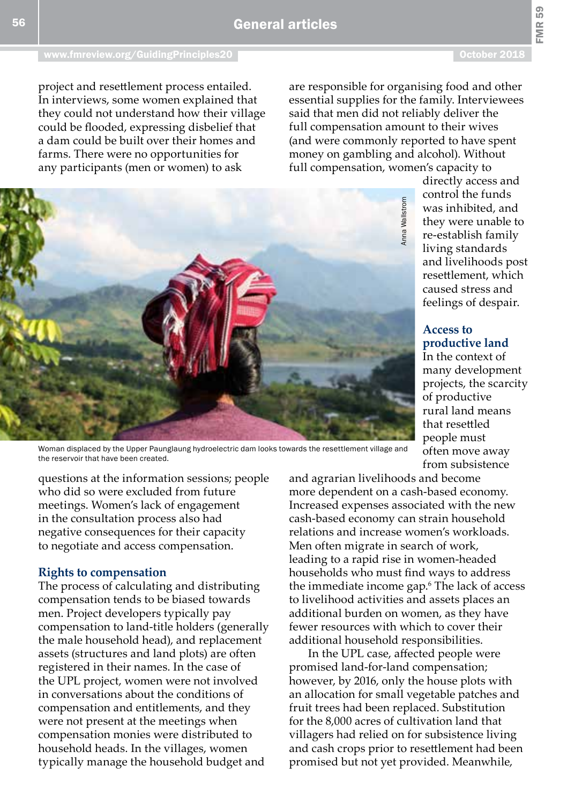FMR 59

project and resettlement process entailed. In interviews, some women explained that they could not understand how their village could be flooded, expressing disbelief that a dam could be built over their homes and farms. There were no opportunities for any participants (men or women) to ask

are responsible for organising food and other essential supplies for the family. Interviewees said that men did not reliably deliver the full compensation amount to their wives (and were commonly reported to have spent money on gambling and alcohol). Without full compensation, women's capacity to



Woman displaced by the Upper Paunglaung hydroelectric dam looks towards the resettlement village and the reservoir that have been created.

questions at the information sessions; people who did so were excluded from future meetings. Women's lack of engagement in the consultation process also had negative consequences for their capacity to negotiate and access compensation.

### **Rights to compensation**

The process of calculating and distributing compensation tends to be biased towards men. Project developers typically pay compensation to land-title holders (generally the male household head), and replacement assets (structures and land plots) are often registered in their names. In the case of the UPL project, women were not involved in conversations about the conditions of compensation and entitlements, and they were not present at the meetings when compensation monies were distributed to household heads. In the villages, women typically manage the household budget and

was inhibited, and they were unable to re-establish family living standards and livelihoods post resettlement, which caused stress and feelings of despair. **Access to** 

directly access and control the funds

## **productive land** In the context of many development projects, the scarcity of productive rural land means that resettled people must

often move away from subsistence

and agrarian livelihoods and become more dependent on a cash-based economy. Increased expenses associated with the new cash-based economy can strain household relations and increase women's workloads. Men often migrate in search of work, leading to a rapid rise in women-headed households who must find ways to address the immediate income gap.6 The lack of access to livelihood activities and assets places an additional burden on women, as they have fewer resources with which to cover their additional household responsibilities. From the UPL case, after the state of the state of the state of the state of the state of the state of the state of the state of the state of the state of the state of the state of the state of the state of the state of th

In the UPL case, affected people were promised land-for-land compensation; however, by 2016, only the house plots with an allocation for small vegetable patches and fruit trees had been replaced. Substitution for the 8,000 acres of cultivation land that villagers had relied on for subsistence living and cash crops prior to resettlement had been